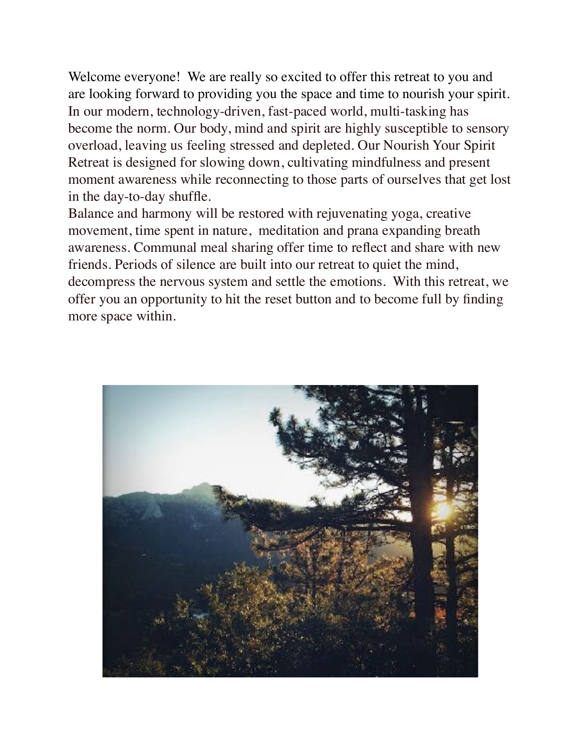Welcome everyone! We are really so excited to offer this retreat to you and are looking forward to providing you the space and time to nourish your spirit. In our modern, technology-driven, fast-paced world, multi-tasking has become the norm. Our body, mind and spirit are highly susceptible to sensory overload, leaving us feeling stressed and depleted. Our Nourish Your Spirit Retreat is designed for slowing down, cultivating mindfulness and present moment awareness while reconnecting to those parts of ourselves that get lost in the day-to-day shuffle.

Balance and harmony will be restored with rejuvenating yoga, creative movement, time spent in nature, meditation and prana expanding breath awareness. Communal meal sharing offer time to reflect and share with new friends. Periods of silence are built into our retreat to quiet the mind, decompress the nervous system and settle the emotions. With this retreat, we offer you an opportunity to hit the reset button and to become full by finding more space within.

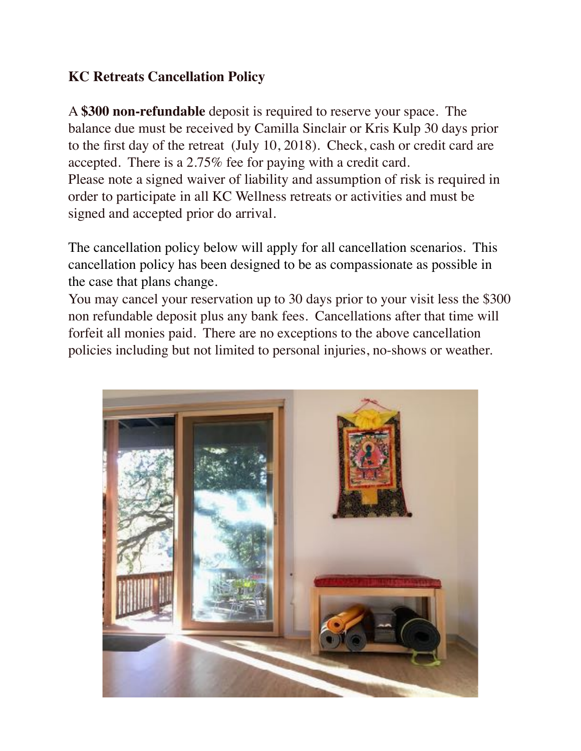# **KC Retreats Cancellation Policy**

A **\$300 non-refundable** deposit is required to reserve your space. The balance due must be received by Camilla Sinclair or Kris Kulp 30 days prior to the first day of the retreat (July 10, 2018). Check, cash or credit card are accepted. There is a 2.75% fee for paying with a credit card. Please note a signed waiver of liability and assumption of risk is required in order to participate in all KC Wellness retreats or activities and must be signed and accepted prior do arrival.

The cancellation policy below will apply for all cancellation scenarios. This cancellation policy has been designed to be as compassionate as possible in the case that plans change.

You may cancel your reservation up to 30 days prior to your visit less the \$300 non refundable deposit plus any bank fees. Cancellations after that time will forfeit all monies paid. There are no exceptions to the above cancellation policies including but not limited to personal injuries, no-shows or weather.

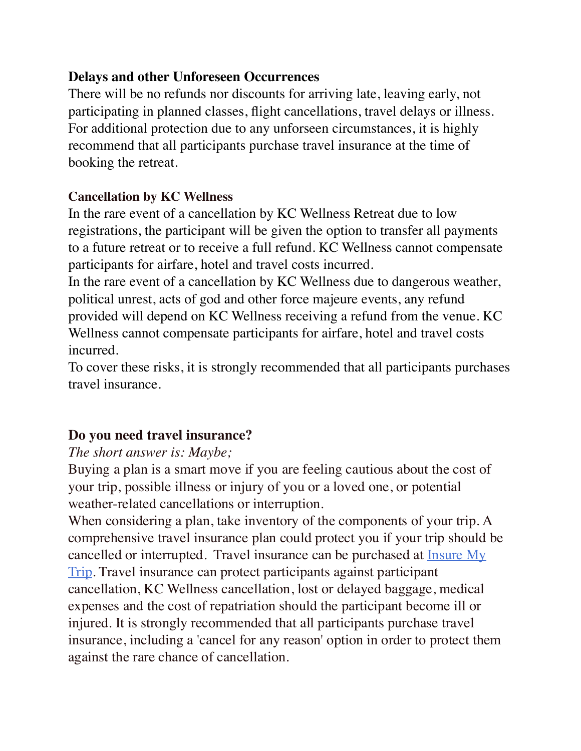### **Delays and other Unforeseen Occurrences**

There will be no refunds nor discounts for arriving late, leaving early, not participating in planned classes, flight cancellations, travel delays or illness. For additional protection due to any unforseen circumstances, it is highly recommend that all participants purchase travel insurance at the time of booking the retreat.

## **Cancellation by KC Wellness**

In the rare event of a cancellation by KC Wellness Retreat due to low registrations, the participant will be given the option to transfer all payments to a future retreat or to receive a full refund. KC Wellness cannot compensate participants for airfare, hotel and travel costs incurred.

In the rare event of a cancellation by KC Wellness due to dangerous weather, political unrest, acts of god and other force majeure events, any refund provided will depend on KC Wellness receiving a refund from the venue. KC Wellness cannot compensate participants for airfare, hotel and travel costs incurred.

To cover these risks, it is strongly recommended that all participants purchases travel insurance.

## **Do you need travel insurance?**

## *The short answer is: Maybe;*

Buying a plan is a smart move if you are feeling cautious about the cost of your trip, possible illness or injury of you or a loved one, or potential weather-related cancellations or interruption.

When considering a plan, take inventory of the components of your trip. A comprehensive travel insurance plan could protect you if your trip should be cancelled or interrupted. Travel insurance can be purchased at **Insure My** [Trip](https://www.insuremytrip.com/). Travel insurance can protect participants against participant cancellation, KC Wellness cancellation, lost or delayed baggage, medical expenses and the cost of repatriation should the participant become ill or injured. It is strongly recommended that all participants purchase travel insurance, including a 'cancel for any reason' option in order to protect them against the rare chance of cancellation.